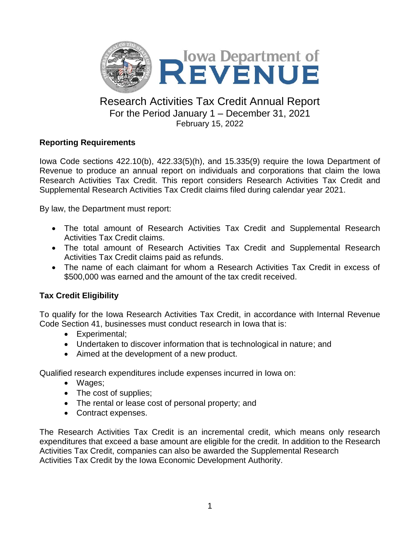

## Research Activities Tax Credit Annual Report For the Period January 1 – December 31, 2021 February 15, 2022

### **Reporting Requirements**

Iowa Code sections 422.10(b), 422.33(5)(h), and 15.335(9) require the Iowa Department of Revenue to produce an annual report on individuals and corporations that claim the Iowa Research Activities Tax Credit. This report considers Research Activities Tax Credit and Supplemental Research Activities Tax Credit claims filed during calendar year 2021.

By law, the Department must report:

- The total amount of Research Activities Tax Credit and Supplemental Research Activities Tax Credit claims.
- The total amount of Research Activities Tax Credit and Supplemental Research Activities Tax Credit claims paid as refunds.
- The name of each claimant for whom a Research Activities Tax Credit in excess of \$500,000 was earned and the amount of the tax credit received.

## **Tax Credit Eligibility**

To qualify for the Iowa Research Activities Tax Credit, in accordance with Internal Revenue Code Section 41, businesses must conduct research in Iowa that is:

- Experimental;
- Undertaken to discover information that is technological in nature; and
- Aimed at the development of a new product.

Qualified research expenditures include expenses incurred in Iowa on:

- Wages;
- The cost of supplies;
- The rental or lease cost of personal property; and
- Contract expenses.

The Research Activities Tax Credit is an incremental credit, which means only research expenditures that exceed a base amount are eligible for the credit. In addition to the Research Activities Tax Credit, companies can also be awarded the Supplemental Research Activities Tax Credit by the Iowa Economic Development Authority.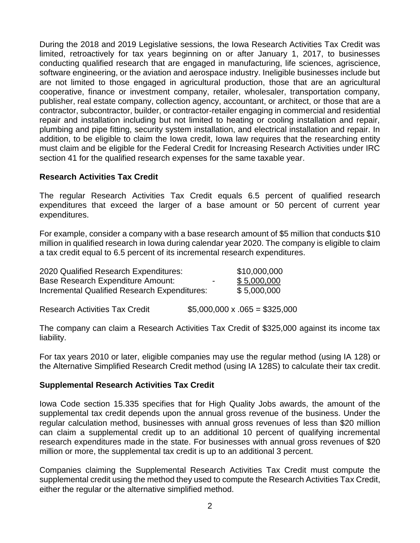During the 2018 and 2019 Legislative sessions, the Iowa Research Activities Tax Credit was limited, retroactively for tax years beginning on or after January 1, 2017, to businesses conducting qualified research that are engaged in manufacturing, life sciences, agriscience, software engineering, or the aviation and aerospace industry. Ineligible businesses include but are not limited to those engaged in agricultural production, those that are an agricultural cooperative, finance or investment company, retailer, wholesaler, transportation company, publisher, real estate company, collection agency, accountant, or architect, or those that are a contractor, subcontractor, builder, or contractor-retailer engaging in commercial and residential repair and installation including but not limited to heating or cooling installation and repair, plumbing and pipe fitting, security system installation, and electrical installation and repair. In addition, to be eligible to claim the Iowa credit, Iowa law requires that the researching entity must claim and be eligible for the Federal Credit for Increasing Research Activities under IRC section 41 for the qualified research expenses for the same taxable year.

#### **Research Activities Tax Credit**

The regular Research Activities Tax Credit equals 6.5 percent of qualified research expenditures that exceed the larger of a base amount or 50 percent of current year expenditures.

For example, consider a company with a base research amount of \$5 million that conducts \$10 million in qualified research in Iowa during calendar year 2020. The company is eligible to claim a tax credit equal to 6.5 percent of its incremental research expenditures.

| 2020 Qualified Research Expenditures:        |                          | \$10,000,000 |
|----------------------------------------------|--------------------------|--------------|
| Base Research Expenditure Amount:            | $\overline{\phantom{0}}$ | \$5,000,000  |
| Incremental Qualified Research Expenditures: |                          | \$5,000,000  |

Research Activities Tax Credit \$5,000,000 x .065 = \$325,000

The company can claim a Research Activities Tax Credit of \$325,000 against its income tax liability.

For tax years 2010 or later, eligible companies may use the regular method (using IA 128) or the Alternative Simplified Research Credit method (using IA 128S) to calculate their tax credit.

#### **Supplemental Research Activities Tax Credit**

Iowa Code section 15.335 specifies that for High Quality Jobs awards, the amount of the supplemental tax credit depends upon the annual gross revenue of the business. Under the regular calculation method, businesses with annual gross revenues of less than \$20 million can claim a supplemental credit up to an additional 10 percent of qualifying incremental research expenditures made in the state. For businesses with annual gross revenues of \$20 million or more, the supplemental tax credit is up to an additional 3 percent.

Companies claiming the Supplemental Research Activities Tax Credit must compute the supplemental credit using the method they used to compute the Research Activities Tax Credit, either the regular or the alternative simplified method.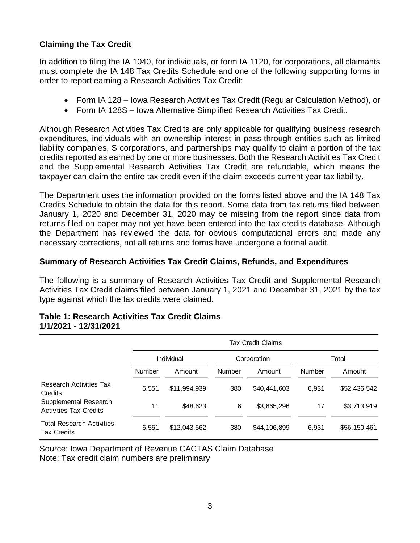### **Claiming the Tax Credit**

In addition to filing the IA 1040, for individuals, or form IA 1120, for corporations, all claimants must complete the IA 148 Tax Credits Schedule and one of the following supporting forms in order to report earning a Research Activities Tax Credit:

- Form IA 128 Iowa Research Activities Tax Credit (Regular Calculation Method), or
- Form IA 128S Iowa Alternative Simplified Research Activities Tax Credit.

Although Research Activities Tax Credits are only applicable for qualifying business research expenditures, individuals with an ownership interest in pass-through entities such as limited liability companies, S corporations, and partnerships may qualify to claim a portion of the tax credits reported as earned by one or more businesses. Both the Research Activities Tax Credit and the Supplemental Research Activities Tax Credit are refundable, which means the taxpayer can claim the entire tax credit even if the claim exceeds current year tax liability.

The Department uses the information provided on the forms listed above and the IA 148 Tax Credits Schedule to obtain the data for this report. Some data from tax returns filed between January 1, 2020 and December 31, 2020 may be missing from the report since data from returns filed on paper may not yet have been entered into the tax credits database. Although the Department has reviewed the data for obvious computational errors and made any necessary corrections, not all returns and forms have undergone a formal audit.

#### **Summary of Research Activities Tax Credit Claims, Refunds, and Expenditures**

The following is a summary of Research Activities Tax Credit and Supplemental Research Activities Tax Credit claims filed between January 1, 2021 and December 31, 2021 by the tax type against which the tax credits were claimed.

#### **Table 1: Research Activities Tax Credit Claims 1/1/2021 - 12/31/2021**

|                                                        |               | Tax Credit Claims |        |              |               |              |  |
|--------------------------------------------------------|---------------|-------------------|--------|--------------|---------------|--------------|--|
|                                                        |               | Individual        |        | Corporation  |               | Total        |  |
|                                                        | <b>Number</b> | Amount            | Number | Amount       | <b>Number</b> | Amount       |  |
| <b>Research Activities Tax</b><br><b>Credits</b>       | 6.551         | \$11,994,939      | 380    | \$40,441,603 | 6.931         | \$52,436,542 |  |
| Supplemental Research<br><b>Activities Tax Credits</b> | 11            | \$48,623          | 6      | \$3,665,296  | 17            | \$3,713,919  |  |
| <b>Total Research Activities</b><br><b>Tax Credits</b> | 6,551         | \$12,043,562      | 380    | \$44,106,899 | 6,931         | \$56,150,461 |  |

Source: Iowa Department of Revenue CACTAS Claim Database Note: Tax credit claim numbers are preliminary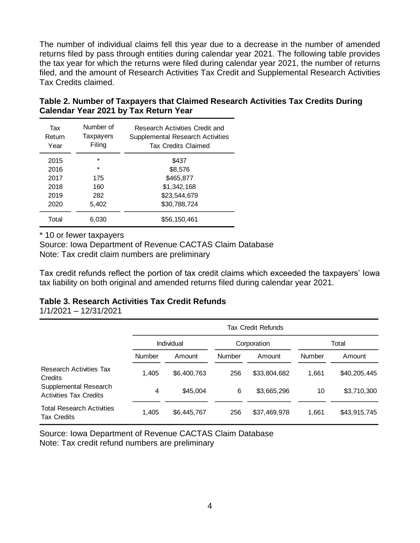The number of individual claims fell this year due to a decrease in the number of amended returns filed by pass through entities during calendar year 2021. The following table provides the tax year for which the returns were filed during calendar year 2021, the number of returns filed, and the amount of Research Activities Tax Credit and Supplemental Research Activities Tax Credits claimed.

| Table 2. Number of Taxpayers that Claimed Research Activities Tax Credits During |  |
|----------------------------------------------------------------------------------|--|
| Calendar Year 2021 by Tax Return Year                                            |  |

| Tax<br>Return<br>Year | Number of<br>Taxpayers<br>Filing | Research Activities Credit and<br><b>Supplemental Research Activities</b><br><b>Tax Credits Claimed</b> |
|-----------------------|----------------------------------|---------------------------------------------------------------------------------------------------------|
| 2015                  | $\star$                          | \$437                                                                                                   |
| 2016                  | $\star$                          | \$8,576                                                                                                 |
| 2017                  | 175                              | \$465,877                                                                                               |
| 2018                  | 160                              | \$1,342,168                                                                                             |
| 2019                  | 282                              | \$23,544,679                                                                                            |
| 2020                  | 5,402                            | \$30,788,724                                                                                            |
| Total                 | 6.030                            | \$56,150,461                                                                                            |

\* 10 or fewer taxpayers

Source: Iowa Department of Revenue CACTAS Claim Database Note: Tax credit claim numbers are preliminary

Tax credit refunds reflect the portion of tax credit claims which exceeded the taxpayers' Iowa tax liability on both original and amended returns filed during calendar year 2021.

#### **Table 3. Research Activities Tax Credit Refunds**

1/1/2021 – 12/31/2021

|                                                        | Tax Credit Refunds |             |             |              |               |              |
|--------------------------------------------------------|--------------------|-------------|-------------|--------------|---------------|--------------|
|                                                        | Individual         |             | Corporation |              | Total         |              |
|                                                        | <b>Number</b>      | Amount      | Number      | Amount       | <b>Number</b> | Amount       |
| <b>Research Activities Tax</b><br>Credits              | 1,405              | \$6,400,763 | 256         | \$33,804,682 | 1,661         | \$40,205,445 |
| Supplemental Research<br><b>Activities Tax Credits</b> | 4                  | \$45,004    | 6           | \$3,665,296  | 10            | \$3,710,300  |
| <b>Total Research Activities</b><br><b>Tax Credits</b> | 1,405              | \$6,445,767 | 256         | \$37,469,978 | 1,661         | \$43,915,745 |

Source: Iowa Department of Revenue CACTAS Claim Database Note: Tax credit refund numbers are preliminary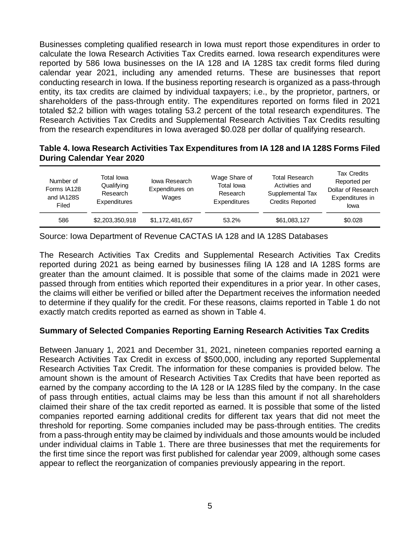Businesses completing qualified research in Iowa must report those expenditures in order to calculate the Iowa Research Activities Tax Credits earned. Iowa research expenditures were reported by 586 Iowa businesses on the IA 128 and IA 128S tax credit forms filed during calendar year 2021, including any amended returns. These are businesses that report conducting research in Iowa. If the business reporting research is organized as a pass-through entity, its tax credits are claimed by individual taxpayers; i.e., by the proprietor, partners, or shareholders of the pass-through entity. The expenditures reported on forms filed in 2021 totaled \$2.2 billion with wages totaling 53.2 percent of the total research expenditures. The Research Activities Tax Credits and Supplemental Research Activities Tax Credits resulting from the research expenditures in Iowa averaged \$0.028 per dollar of qualifying research.

#### **Table 4. Iowa Research Activities Tax Expenditures from IA 128 and IA 128S Forms Filed During Calendar Year 2020**

| Number of<br>Forms IA128<br>and IA128S<br>Filed | Total Iowa<br>Qualifying<br>Research<br>Expenditures | lowa Research<br>Expenditures on<br>Wages | Wage Share of<br>Total lowa<br>Research<br>Expenditures | <b>Total Research</b><br>Activities and<br>Supplemental Tax<br><b>Credits Reported</b> | <b>Tax Credits</b><br>Reported per<br>Dollar of Research<br>Expenditures in<br>lowa |
|-------------------------------------------------|------------------------------------------------------|-------------------------------------------|---------------------------------------------------------|----------------------------------------------------------------------------------------|-------------------------------------------------------------------------------------|
| 586                                             | \$2,203,350,918                                      | \$1,172,481,657                           | 53.2%                                                   | \$61,083,127                                                                           | \$0.028                                                                             |

Source: Iowa Department of Revenue CACTAS IA 128 and IA 128S Databases

The Research Activities Tax Credits and Supplemental Research Activities Tax Credits reported during 2021 as being earned by businesses filing IA 128 and IA 128S forms are greater than the amount claimed. It is possible that some of the claims made in 2021 were passed through from entities which reported their expenditures in a prior year. In other cases, the claims will either be verified or billed after the Department receives the information needed to determine if they qualify for the credit. For these reasons, claims reported in Table 1 do not exactly match credits reported as earned as shown in Table 4.

### **Summary of Selected Companies Reporting Earning Research Activities Tax Credits**

Between January 1, 2021 and December 31, 2021, nineteen companies reported earning a Research Activities Tax Credit in excess of \$500,000, including any reported Supplemental Research Activities Tax Credit. The information for these companies is provided below. The amount shown is the amount of Research Activities Tax Credits that have been reported as earned by the company according to the IA 128 or IA 128S filed by the company. In the case of pass through entities, actual claims may be less than this amount if not all shareholders claimed their share of the tax credit reported as earned. It is possible that some of the listed companies reported earning additional credits for different tax years that did not meet the threshold for reporting. Some companies included may be pass-through entities. The credits from a pass-through entity may be claimed by individuals and those amounts would be included under individual claims in Table 1. There are three businesses that met the requirements for the first time since the report was first published for calendar year 2009, although some cases appear to reflect the reorganization of companies previously appearing in the report.